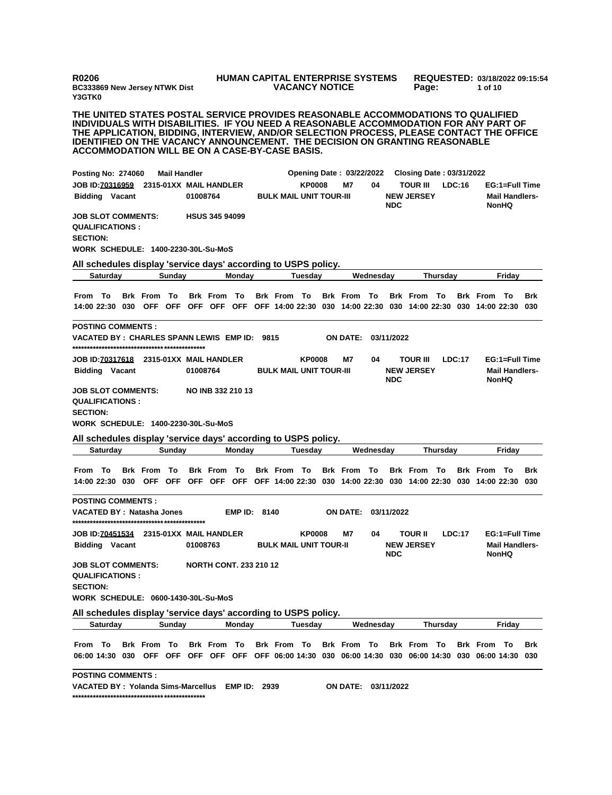**R0206 BC333869 New Jersey NTWK Dist Y3GTK0**

## **HUMAN CAPITAL ENTERPRISE SYSTEMS VACANCY NOTICE**

**REQUESTED: 03/18/2022 09:15:54 Page: 1 of 10** 

**THE UNITED STATES POSTAL SERVICE PROVIDES REASONABLE ACCOMMODATIONS TO QUALIFIED INDIVIDUALS WITH DISABILITIES. IF YOU NEED A REASONABLE ACCOMMODATION FOR ANY PART OF THE APPLICATION, BIDDING, INTERVIEW, AND/OR SELECTION PROCESS, PLEASE CONTACT THE OFFICE IDENTIFIED ON THE VACANCY ANNOUNCEMENT. THE DECISION ON GRANTING REASONABLE ACCOMMODATION WILL BE ON A CASE-BY-CASE BASIS.**

| <b>Posting No: 274060</b>                                              |                 |                                                                                                                         |        | <b>Mail Handler</b> |                               |                     |      |                                |               | <b>Opening Date: 03/22/2022</b> |           |            | <b>Closing Date: 03/31/2022</b>      |                 |        |                                                                                                                            |                                                         |            |
|------------------------------------------------------------------------|-----------------|-------------------------------------------------------------------------------------------------------------------------|--------|---------------------|-------------------------------|---------------------|------|--------------------------------|---------------|---------------------------------|-----------|------------|--------------------------------------|-----------------|--------|----------------------------------------------------------------------------------------------------------------------------|---------------------------------------------------------|------------|
| <b>Bidding Vacant</b>                                                  |                 | JOB ID: 70316959 2315-01XX MAIL HANDLER                                                                                 |        | 01008764            |                               |                     |      | <b>BULK MAIL UNIT TOUR-III</b> | <b>KP0008</b> | M7                              | 04        | <b>NDC</b> | <b>TOUR III</b><br><b>NEW JERSEY</b> |                 | LDC:16 |                                                                                                                            | EG:1=Full Time<br><b>Mail Handlers-</b><br><b>NonHQ</b> |            |
| <b>JOB SLOT COMMENTS:</b><br><b>QUALIFICATIONS:</b><br><b>SECTION:</b> |                 | WORK SCHEDULE: 1400-2230-30L-Su-MoS                                                                                     |        |                     | <b>HSUS 345 94099</b>         |                     |      |                                |               |                                 |           |            |                                      |                 |        |                                                                                                                            |                                                         |            |
|                                                                        |                 | All schedules display 'service days' according to USPS policy.                                                          |        |                     |                               |                     |      |                                |               |                                 |           |            |                                      |                 |        |                                                                                                                            |                                                         |            |
|                                                                        | <b>Saturday</b> |                                                                                                                         | Sunday |                     |                               | Monday              |      |                                | Tuesday       |                                 | Wednesday |            |                                      | <b>Thursday</b> |        |                                                                                                                            | Friday                                                  |            |
| From To                                                                |                 | <b>Brk From To</b>                                                                                                      |        |                     | Brk From To                   |                     |      | <b>Brk From To</b>             |               | Brk From To                     |           |            | <b>Brk From To</b>                   |                 |        | <b>Brk</b> From                                                                                                            | Το                                                      | <b>Brk</b> |
|                                                                        |                 |                                                                                                                         |        |                     |                               |                     |      |                                |               |                                 |           |            |                                      |                 |        | 14:00 22:30 030 OFF OFF OFF OFF OFF OFF 14:00 22:30 030 14:00 22:30 030 14:00 22:30 030 14:00 22:30 030                    |                                                         |            |
| <b>POSTING COMMENTS:</b>                                               |                 | VACATED BY:CHARLES SPANN LEWIS EMP ID:                                                                                  |        |                     |                               |                     | 9815 |                                |               | ON DATE: 03/11/2022             |           |            |                                      |                 |        |                                                                                                                            |                                                         |            |
| <b>Bidding Vacant</b>                                                  |                 |                                                                                                                         |        | 01008764            |                               |                     |      | <b>BULK MAIL UNIT TOUR-III</b> | <b>KP0008</b> | M7                              | 04        | <b>NDC</b> | <b>TOUR III</b><br><b>NEW JERSEY</b> |                 | LDC:17 |                                                                                                                            | EG:1=Full Time<br><b>Mail Handlers-</b><br><b>NonHQ</b> |            |
| <b>JOB SLOT COMMENTS:</b><br><b>QUALIFICATIONS:</b><br><b>SECTION:</b> |                 | WORK SCHEDULE: 1400-2230-30L-Su-MoS<br>All schedules display 'service days' according to USPS policy.                   |        |                     | NO INB 332 210 13             |                     |      |                                |               |                                 |           |            |                                      |                 |        |                                                                                                                            |                                                         |            |
|                                                                        | Saturday        |                                                                                                                         | Sunday |                     |                               | Monday              |      |                                | Tuesday       |                                 | Wednesday | Thursday   |                                      |                 | Friday |                                                                                                                            |                                                         |            |
|                                                                        |                 |                                                                                                                         |        |                     |                               |                     |      |                                |               |                                 |           |            |                                      |                 |        |                                                                                                                            |                                                         |            |
| From To                                                                |                 | <b>Brk From To</b>                                                                                                      |        |                     | <b>Brk From To</b>            |                     |      | Brk From To                    |               | Brk From To                     |           |            | Brk From To                          |                 |        | <b>Brk</b> From<br>14:00 22:30 030 OFF OFF OFF OFF OFF OFF 14:00 22:30 030 14:00 22:30 030 14:00 22:30 030 14:00 22:30 030 | То                                                      | <b>Brk</b> |
| <b>POSTING COMMENTS:</b>                                               |                 | VACATED BY : Natasha Jones                                                                                              |        |                     |                               | <b>EMP ID: 8140</b> |      |                                |               | ON DATE: 03/11/2022             |           |            |                                      |                 |        |                                                                                                                            |                                                         |            |
|                                                                        |                 |                                                                                                                         |        |                     |                               |                     |      |                                |               |                                 |           |            |                                      |                 |        |                                                                                                                            |                                                         |            |
| <b>Bidding Vacant</b>                                                  |                 | JOB ID: 70451534 2315-01XX MAIL HANDLER                                                                                 |        | 01008763            |                               |                     |      | <b>BULK MAIL UNIT TOUR-II</b>  | <b>KP0008</b> | <b>M7</b>                       | 04        | <b>NDC</b> | <b>TOUR II</b><br><b>NEW JERSEY</b>  |                 | LDC:17 |                                                                                                                            | EG:1=Full Time<br><b>Mail Handlers-</b><br><b>NonHQ</b> |            |
| <b>JOB SLOT COMMENTS:</b><br><b>QUALIFICATIONS:</b><br><b>SECTION:</b> |                 | WORK SCHEDULE: 0600-1430-30L-Su-MoS                                                                                     |        |                     | <b>NORTH CONT. 233 210 12</b> |                     |      |                                |               |                                 |           |            |                                      |                 |        |                                                                                                                            |                                                         |            |
|                                                                        |                 |                                                                                                                         |        |                     |                               |                     |      |                                |               |                                 |           |            |                                      |                 |        |                                                                                                                            |                                                         |            |
|                                                                        | <b>Saturday</b> | All schedules display 'service days' according to USPS policy.                                                          | Sunday |                     |                               | Monday              |      |                                | Tuesday       |                                 | Wednesday |            |                                      | Thursday        |        |                                                                                                                            | Friday                                                  |            |
|                                                                        |                 |                                                                                                                         |        |                     |                               |                     |      |                                |               |                                 |           |            |                                      |                 |        |                                                                                                                            |                                                         |            |
| From To                                                                |                 | Brk From To                                                                                                             |        |                     | <b>Brk From To</b>            |                     |      | <b>Brk From To</b>             |               | Brk From To                     |           |            | <b>Brk From To</b>                   |                 |        | <b>Brk</b> From<br>06:00 14:30 030 OFF OFF OFF OFF OFF OFF 06:00 14:30 030 06:00 14:30 030 06:00 14:30 030 06:00 14:30 030 | То                                                      | <b>Brk</b> |
| <b>POSTING COMMENTS:</b>                                               |                 |                                                                                                                         |        |                     |                               |                     |      |                                |               |                                 |           |            |                                      |                 |        |                                                                                                                            |                                                         |            |
|                                                                        |                 | VACATED BY: Yolanda Sims-Marcellus EMP ID: 2939<br>د مان مان مان مان مان مان مان مان حان مان مان مان مان مان مان مان ما |        |                     |                               |                     |      |                                |               | ON DATE: 03/11/2022             |           |            |                                      |                 |        |                                                                                                                            |                                                         |            |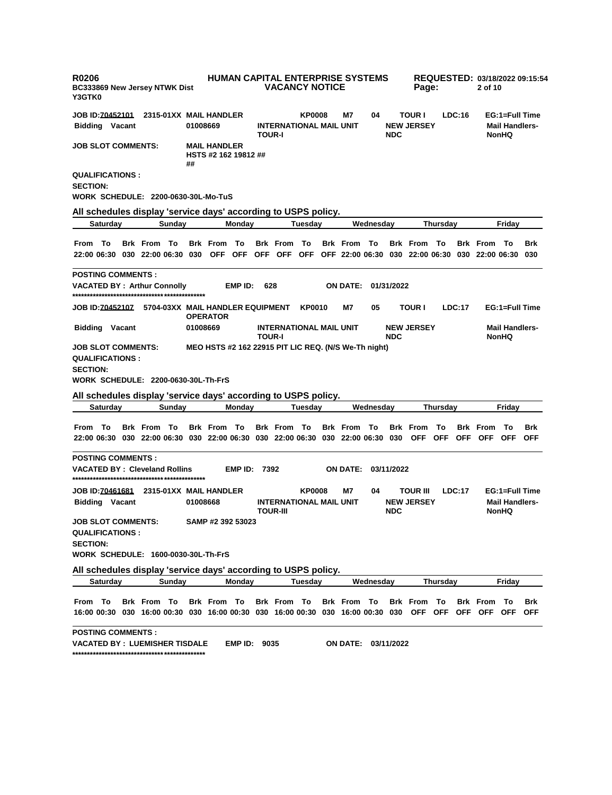| R0206<br><b>BC333869 New Jersey NTWK Dist</b><br>Y3GTK0                                                            |                                  |        |          |                                             |                     |               | <b>VACANCY NOTICE</b>                             |               | <b>HUMAN CAPITAL ENTERPRISE SYSTEMS</b> |           |            | Page:                                                                                         |                   |        | 2 of 10         |                                                         | REQUESTED: 03/18/2022 09:15:54 |
|--------------------------------------------------------------------------------------------------------------------|----------------------------------|--------|----------|---------------------------------------------|---------------------|---------------|---------------------------------------------------|---------------|-----------------------------------------|-----------|------------|-----------------------------------------------------------------------------------------------|-------------------|--------|-----------------|---------------------------------------------------------|--------------------------------|
| <b>JOB ID:70452101</b>                                                                                             | 2315-01XX MAIL HANDLER           |        |          |                                             |                     |               |                                                   | <b>KP0008</b> | M7                                      | 04        |            | <b>TOUR I</b>                                                                                 |                   | LDC:16 |                 | EG:1=Full Time                                          |                                |
| <b>Bidding Vacant</b>                                                                                              |                                  |        | 01008669 |                                             |                     | <b>TOUR-I</b> | <b>INTERNATIONAL MAIL UNIT</b>                    |               |                                         |           | <b>NDC</b> | <b>NEW JERSEY</b>                                                                             |                   |        |                 | <b>Mail Handlers-</b><br><b>NonHQ</b>                   |                                |
| <b>JOB SLOT COMMENTS:</b>                                                                                          |                                  |        | ##       | <b>MAIL HANDLER</b><br>HSTS #2 162 19812 ## |                     |               |                                                   |               |                                         |           |            |                                                                                               |                   |        |                 |                                                         |                                |
| <b>QUALIFICATIONS:</b><br><b>SECTION:</b><br>WORK SCHEDULE: 2200-0630-30L-Mo-TuS                                   |                                  |        |          |                                             |                     |               |                                                   |               |                                         |           |            |                                                                                               |                   |        |                 |                                                         |                                |
|                                                                                                                    |                                  |        |          |                                             |                     |               |                                                   |               |                                         |           |            |                                                                                               |                   |        |                 |                                                         |                                |
| All schedules display 'service days' according to USPS policy.<br><b>Saturday</b>                                  |                                  | Sunday |          |                                             | Monday              |               |                                                   | Tuesday       |                                         | Wednesday |            |                                                                                               | Thursday          |        |                 | Friday                                                  |                                |
|                                                                                                                    |                                  |        |          |                                             |                     |               |                                                   |               |                                         |           |            |                                                                                               |                   |        |                 |                                                         |                                |
| From To<br>22:00 06:30 030 22:00 06:30 030                                                                         | <b>Brk From To</b>               |        |          | <b>Brk From To</b>                          |                     |               | <b>Brk From To</b>                                |               | <b>Brk From To</b>                      |           |            | <b>Brk From To</b><br>OFF OFF OFF OFF OFF OFF 22:00 06:30 030 22:00 06:30 030 22:00 06:30 030 |                   |        | <b>Brk</b> From | То                                                      | <b>Brk</b>                     |
| <b>POSTING COMMENTS:</b>                                                                                           |                                  |        |          |                                             |                     |               |                                                   |               |                                         |           |            |                                                                                               |                   |        |                 |                                                         |                                |
| <b>VACATED BY: Arthur Connolly</b>                                                                                 |                                  |        |          |                                             | EMP ID:             | 628           |                                                   |               | <b>ON DATE:</b>                         |           | 01/31/2022 |                                                                                               |                   |        |                 |                                                         |                                |
| JOB ID: <u>70452107</u>                                                                                            | 5704-03XX MAIL HANDLER EQUIPMENT |        |          | <b>OPERATOR</b>                             |                     |               |                                                   | <b>KP0010</b> | M7                                      | 05        |            | <b>TOUR I</b>                                                                                 |                   | LDC:17 |                 | EG:1=Full Time                                          |                                |
| <b>Bidding Vacant</b>                                                                                              |                                  |        | 01008669 |                                             |                     | <b>TOUR-I</b> | <b>INTERNATIONAL MAIL UNIT</b>                    |               |                                         |           | <b>NDC</b> | <b>NEW JERSEY</b>                                                                             |                   |        |                 | <b>Mail Handlers-</b><br><b>NonHQ</b>                   |                                |
| <b>QUALIFICATIONS:</b><br><b>SECTION:</b><br>WORK SCHEDULE: 2200-0630-30L-Th-FrS                                   |                                  |        |          |                                             |                     |               |                                                   |               |                                         |           |            |                                                                                               |                   |        |                 |                                                         |                                |
| All schedules display 'service days' according to USPS policy.<br><b>Saturday</b>                                  |                                  | Sunday |          |                                             | Monday              |               |                                                   | Tuesday       |                                         | Wednesday |            |                                                                                               | <b>Thursday</b>   |        |                 | Friday                                                  |                                |
|                                                                                                                    |                                  |        |          |                                             |                     |               |                                                   |               |                                         |           |            |                                                                                               |                   |        |                 |                                                         |                                |
| То<br>From<br>22:00 06:30   030   22:00 06:30   030   22:00 06:30   030   22:00 06:30   030   22:00 06:30   030    | <b>Brk From To</b>               |        |          | Brk From To                                 |                     |               | <b>Brk From To</b>                                |               | Brk From To                             |           |            | <b>Brk</b> From<br><b>OFF</b>                                                                 | To<br>OFF OFF OFF |        | <b>Brk</b> From | To<br>OFF                                               | Brk<br><b>OFF</b>              |
| <b>POSTING COMMENTS:</b><br><b>VACATED BY: Cleveland Rollins</b>                                                   |                                  |        |          |                                             | <b>EMP ID: 7392</b> |               |                                                   |               | <b>ON DATE:</b>                         |           | 03/11/2022 |                                                                                               |                   |        |                 |                                                         |                                |
| <b>JOB ID:70461681</b><br><b>Bidding Vacant</b>                                                                    | 2315-01XX MAIL HANDLER           |        | 01008668 |                                             |                     |               | <b>INTERNATIONAL MAIL UNIT</b><br><b>TOUR-III</b> | <b>KP0008</b> | M7                                      | 04        | <b>NDC</b> | <b>TOUR III</b><br><b>NEW JERSEY</b>                                                          |                   | LDC:17 |                 | EG:1=Full Time<br><b>Mail Handlers-</b><br><b>NonHQ</b> |                                |
| <b>JOB SLOT COMMENTS:</b><br><b>QUALIFICATIONS:</b><br><b>SECTION:</b>                                             |                                  |        |          | SAMP #2 392 53023                           |                     |               |                                                   |               |                                         |           |            |                                                                                               |                   |        |                 |                                                         |                                |
| WORK SCHEDULE: 1600-0030-30L-Th-FrS                                                                                |                                  |        |          |                                             |                     |               |                                                   |               |                                         |           |            |                                                                                               |                   |        |                 |                                                         |                                |
| All schedules display 'service days' according to USPS policy.<br><b>Saturday</b>                                  |                                  | Sunday |          |                                             | Monday              |               |                                                   | Tuesday       |                                         | Wednesday |            |                                                                                               | <b>Thursdav</b>   |        |                 | Friday                                                  |                                |
|                                                                                                                    |                                  |        |          |                                             |                     |               |                                                   |               |                                         |           |            |                                                                                               |                   |        |                 |                                                         |                                |
| From To<br>16:00 00:30 030 16:00 00:30 030 16:00 00:30 030 16:00 00:30 030 16:00 00:30 030 OFF OFF OFF OFF OFF OFF | <b>Brk From To</b>               |        |          | Brk From To                                 |                     |               | Brk From To                                       |               | Brk From To                             |           |            | <b>Brk From To</b>                                                                            |                   |        | <b>Brk</b> From | - To                                                    | Brk                            |
| <b>POSTING COMMENTS:</b><br><b>VACATED BY : LUEMISHER TISDALE</b>                                                  |                                  |        |          |                                             | <b>EMP ID: 9035</b> |               |                                                   |               | ON DATE: 03/11/2022                     |           |            |                                                                                               |                   |        |                 |                                                         |                                |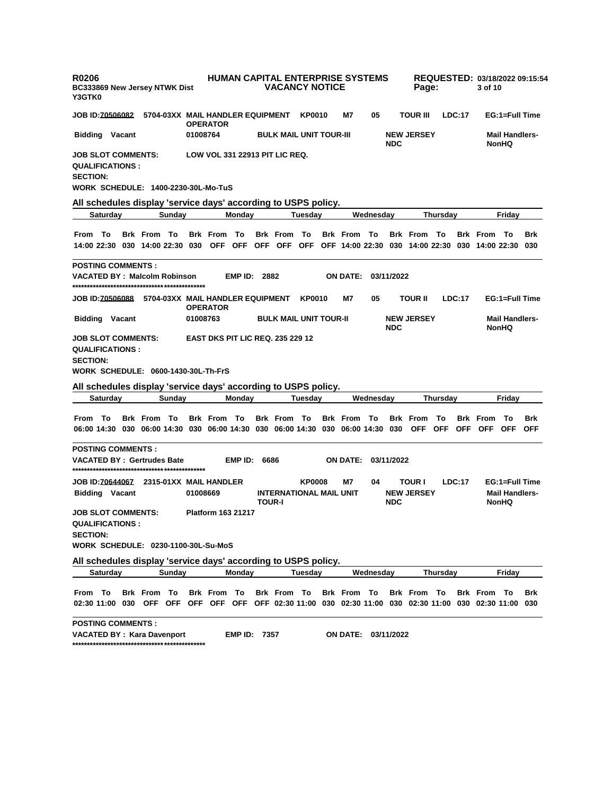| Y3GTK0                                                                 | <b>R0206</b>          |     | BC333869 New Jersey NTWK Dist                                                                         |        |          |                                                     | <b>HUMAN CAPITAL ENTERPRISE SYSTEMS</b> |                                       | <b>VACANCY NOTICE</b>                           |                     |           |            | Page:                              |                                 |               | 3 of 10                                                                            |                                                         | REQUESTED: 03/18/2022 09:15:54 |
|------------------------------------------------------------------------|-----------------------|-----|-------------------------------------------------------------------------------------------------------|--------|----------|-----------------------------------------------------|-----------------------------------------|---------------------------------------|-------------------------------------------------|---------------------|-----------|------------|------------------------------------|---------------------------------|---------------|------------------------------------------------------------------------------------|---------------------------------------------------------|--------------------------------|
| <b>JOB ID:70506082</b>                                                 |                       |     |                                                                                                       |        |          | 5704-03XX MAIL HANDLER EQUIPMENT<br><b>OPERATOR</b> |                                         |                                       | <b>KP0010</b>                                   | M7                  | 05        |            | <b>TOUR III</b>                    |                                 | LDC:17        |                                                                                    | EG:1=Full Time                                          |                                |
|                                                                        | <b>Bidding Vacant</b> |     |                                                                                                       |        | 01008764 |                                                     |                                         |                                       | <b>BULK MAIL UNIT TOUR-III</b>                  |                     |           | <b>NDC</b> | <b>NEW JERSEY</b>                  |                                 |               |                                                                                    | <b>Mail Handlers-</b><br><b>NonHQ</b>                   |                                |
| <b>JOB SLOT COMMENTS:</b><br><b>QUALIFICATIONS:</b><br><b>SECTION:</b> |                       |     | <b>WORK SCHEDULE: 1400-2230-30L-Mo-TuS</b>                                                            |        |          | LOW VOL 331 22913 PIT LIC REQ.                      |                                         |                                       |                                                 |                     |           |            |                                    |                                 |               |                                                                                    |                                                         |                                |
|                                                                        |                       |     | All schedules display 'service days' according to USPS policy.                                        |        |          |                                                     |                                         |                                       |                                                 |                     |           |            |                                    |                                 |               |                                                                                    |                                                         |                                |
|                                                                        | <b>Saturday</b>       |     |                                                                                                       | Sunday |          |                                                     | Monday                                  |                                       | Tuesday                                         |                     | Wednesday |            |                                    | <b>Thursday</b>                 |               |                                                                                    | Friday                                                  |                                |
| From To                                                                |                       |     | <b>Brk From To</b><br>14:00 22:30 030 14:00 22:30 030                                                 |        |          | <b>Brk From To</b><br>OFF OFF                       |                                         | <b>Brk From To</b>                    |                                                 | <b>Brk</b> From     | To        |            | <b>Brk</b> From                    | - То                            |               | <b>Brk</b> From<br>OFF OFF OFF OFF 14:00 22:30 030 14:00 22:30 030 14:00 22:30 030 | - То                                                    | Brk                            |
| <b>POSTING COMMENTS:</b>                                               |                       |     |                                                                                                       |        |          |                                                     |                                         |                                       |                                                 |                     |           |            |                                    |                                 |               |                                                                                    |                                                         |                                |
|                                                                        |                       |     | VACATED BY: Malcolm Robinson                                                                          |        |          |                                                     | <b>EMP ID: 2882</b>                     |                                       |                                                 | ON DATE:            |           | 03/11/2022 |                                    |                                 |               |                                                                                    |                                                         |                                |
| JOB ID: <u>70506088</u>                                                |                       |     |                                                                                                       |        |          | 5704-03XX MAIL HANDLER EQUIPMENT<br><b>OPERATOR</b> |                                         |                                       | <b>KP0010</b>                                   | M7                  | 05        |            | TOUR II                            |                                 | LDC:17        |                                                                                    | EG:1=Full Time                                          |                                |
|                                                                        | <b>Bidding Vacant</b> |     |                                                                                                       |        | 01008763 |                                                     |                                         |                                       | <b>BULK MAIL UNIT TOUR-II</b>                   |                     |           | <b>NDC</b> | <b>NEW JERSEY</b>                  |                                 |               |                                                                                    | <b>Mail Handlers-</b><br><b>NonHQ</b>                   |                                |
| <b>JOB SLOT COMMENTS:</b><br><b>QUALIFICATIONS:</b><br><b>SECTION:</b> |                       |     |                                                                                                       |        |          | <b>EAST DKS PIT LIC REQ. 235 229 12</b>             |                                         |                                       |                                                 |                     |           |            |                                    |                                 |               |                                                                                    |                                                         |                                |
|                                                                        |                       |     | WORK SCHEDULE: 0600-1430-30L-Th-FrS                                                                   |        |          |                                                     |                                         |                                       |                                                 |                     |           |            |                                    |                                 |               |                                                                                    |                                                         |                                |
|                                                                        |                       |     | All schedules display 'service days' according to USPS policy.                                        |        |          |                                                     |                                         |                                       |                                                 |                     |           |            |                                    |                                 |               |                                                                                    |                                                         |                                |
|                                                                        | Saturday              |     |                                                                                                       | Sunday |          |                                                     | Monday                                  |                                       | Tuesday                                         |                     | Wednesday |            |                                    | Thursday                        |               |                                                                                    | Friday                                                  |                                |
|                                                                        |                       |     |                                                                                                       |        |          |                                                     |                                         |                                       |                                                 |                     |           |            |                                    |                                 |               |                                                                                    |                                                         |                                |
| From To                                                                |                       |     | <b>Brk From To</b><br>06:00 14:30 030 06:00 14:30 030 06:00 14:30 030 06:00 14:30 030 06:00 14:30 030 |        |          | <b>Brk From To</b>                                  |                                         | <b>Brk From To</b>                    |                                                 | <b>Brk</b> From     | To        |            | <b>Brk</b> From                    | To<br>OFF OFF                   |               | <b>Brk</b> From<br>OFF OFF OFF                                                     | То                                                      | Brk<br><b>OFF</b>              |
| <b>POSTING COMMENTS:</b>                                               |                       |     |                                                                                                       |        |          |                                                     |                                         |                                       |                                                 |                     |           |            |                                    |                                 |               |                                                                                    |                                                         |                                |
|                                                                        |                       |     | <b>VACATED BY: Gertrudes Bate</b>                                                                     |        |          |                                                     | <b>EMP ID: 6686</b>                     |                                       |                                                 | ON DATE: 03/11/2022 |           |            |                                    |                                 |               |                                                                                    |                                                         |                                |
| <b>JOB ID:70644067</b>                                                 | <b>Bidding Vacant</b> |     |                                                                                                       |        | 01008669 | 2315-01XX MAIL HANDLER                              |                                         | <b>TOUR-I</b>                         | <b>KP0008</b><br><b>INTERNATIONAL MAIL UNIT</b> | M7                  | 04        | <b>NDC</b> | <b>TOUR I</b><br><b>NEW JERSEY</b> |                                 | <b>LDC:17</b> |                                                                                    | EG:1=Full Time<br><b>Mail Handlers-</b><br><b>NonHQ</b> |                                |
| JOB SLOT COMMENTS:<br><b>QUALIFICATIONS:</b><br><b>SECTION:</b>        |                       |     | <b>WORK SCHEDULE: 0230-1100-30L-Su-MoS</b>                                                            |        |          | Platform 163 21217                                  |                                         |                                       |                                                 |                     |           |            |                                    |                                 |               |                                                                                    |                                                         |                                |
|                                                                        |                       |     |                                                                                                       |        |          |                                                     |                                         |                                       |                                                 |                     |           |            |                                    |                                 |               |                                                                                    |                                                         |                                |
|                                                                        | Saturday              |     | All schedules display 'service days' according to USPS policy.                                        | Sunday |          |                                                     | Monday                                  |                                       | Tuesday                                         |                     | Wednesday |            |                                    | <b>Thursday</b>                 |               |                                                                                    | Friday                                                  |                                |
| From To                                                                | 02:30 11:00           | 030 | <b>Brk From To</b><br>OFF OFF                                                                         |        |          | <b>Brk From To</b><br>OFF OFF OFF                   |                                         | <b>Brk From To</b><br>OFF 02:30 11:00 |                                                 | <b>Brk From To</b>  |           |            | <b>Brk From To</b>                 | 030 02:30 11:00 030 02:30 11:00 |               | <b>Brk From To</b><br>030 02:30 11:00                                              |                                                         | Brk<br>030                     |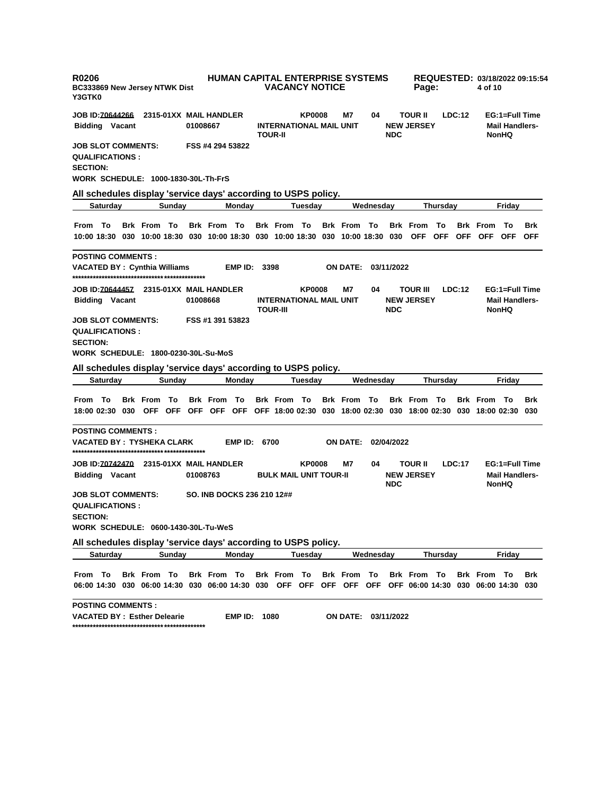| <b>R0206</b><br><b>BC333869 New Jersey NTWK Dist</b><br>Y3GTK0                                                        |                        |          | <b>HUMAN CAPITAL ENTERPRISE SYSTEMS</b> |                     | <b>VACANCY NOTICE</b>                             |                |                     |           |            | Page:                                |                 |        | 4 of 10                        |                                                         | REQUESTED: 03/18/2022 09:15:54 |
|-----------------------------------------------------------------------------------------------------------------------|------------------------|----------|-----------------------------------------|---------------------|---------------------------------------------------|----------------|---------------------|-----------|------------|--------------------------------------|-----------------|--------|--------------------------------|---------------------------------------------------------|--------------------------------|
| JOB ID: <u>70644266</u>                                                                                               | 2315-01XX MAIL HANDLER |          |                                         |                     |                                                   | <b>KP0008</b>  | M7                  | 04        |            | <b>TOUR II</b>                       |                 | LDC:12 |                                | EG:1=Full Time                                          |                                |
| <b>Bidding Vacant</b>                                                                                                 |                        | 01008667 |                                         |                     | <b>INTERNATIONAL MAIL UNIT</b><br><b>TOUR-II</b>  |                |                     |           | <b>NDC</b> | <b>NEW JERSEY</b>                    |                 |        |                                | <b>Mail Handlers-</b><br><b>NonHQ</b>                   |                                |
| <b>JOB SLOT COMMENTS:</b><br><b>QUALIFICATIONS :</b><br><b>SECTION:</b><br><b>WORK SCHEDULE: 1000-1830-30L-Th-FrS</b> |                        |          | FSS #4 294 53822                        |                     |                                                   |                |                     |           |            |                                      |                 |        |                                |                                                         |                                |
| All schedules display 'service days' according to USPS policy.                                                        |                        |          |                                         |                     |                                                   |                |                     |           |            |                                      |                 |        |                                |                                                         |                                |
| Saturday                                                                                                              | Sunday                 |          | Monday                                  |                     |                                                   | Tuesday        |                     | Wednesday |            |                                      | <b>Thursdav</b> |        |                                | Friday                                                  |                                |
| From To<br>10:00 18:30 030 10:00 18:30 030 10:00 18:30 030 10:00 18:30 030 10:00 18:30 030 OFF OFF                    | <b>Brk From To</b>     |          | <b>Brk From To</b>                      |                     | Brk From To                                       |                | <b>Brk From To</b>  |           |            | <b>Brk</b> From                      | Το              |        | <b>Brk</b> From<br>OFF OFF OFF | To                                                      | <b>Brk</b><br><b>OFF</b>       |
| <b>POSTING COMMENTS :</b><br>VACATED BY : Cynthia Williams                                                            |                        |          | EMP ID:                                 |                     | 3398                                              |                | <b>ON DATE:</b>     |           | 03/11/2022 |                                      |                 |        |                                |                                                         |                                |
| JOB ID: 70644457 2315-01XX MAIL HANDLER<br><b>Bidding Vacant</b>                                                      |                        | 01008668 |                                         |                     | <b>INTERNATIONAL MAIL UNIT</b><br><b>TOUR-III</b> | <b>KP0008</b>  | M7                  | 04        | <b>NDC</b> | <b>TOUR III</b><br><b>NEW JERSEY</b> |                 | LDC:12 |                                | EG:1=Full Time<br><b>Mail Handlers-</b><br><b>NonHQ</b> |                                |
| <b>JOB SLOT COMMENTS:</b><br><b>QUALIFICATIONS :</b><br><b>SECTION:</b><br>WORK SCHEDULE: 1800-0230-30L-Su-MoS        |                        |          | FSS #1 391 53823                        |                     |                                                   |                |                     |           |            |                                      |                 |        |                                |                                                         |                                |
| All schedules display 'service days' according to USPS policy.<br>Saturday                                            | Sunday                 |          | Monday                                  |                     |                                                   | Tuesday        |                     | Wednesday |            |                                      | Thursday        |        |                                | Friday                                                  |                                |
|                                                                                                                       |                        |          |                                         |                     |                                                   |                |                     |           |            |                                      |                 |        |                                |                                                         |                                |
| From To<br>18:00 02:30 030 OFF OFF OFF OFF OFF OFF 18:00 02:30 030 18:00 02:30 030 18:00 02:30 030 18:00 02:30 030    | <b>Brk From To</b>     |          | <b>Brk From To</b>                      |                     | Brk From To                                       |                | <b>Brk From To</b>  |           |            | <b>Brk From To</b>                   |                 |        | <b>Brk From To</b>             |                                                         | Brk                            |
| <b>POSTING COMMENTS :</b><br>VACATED BY : TYSHEKA CLARK                                                               |                        |          |                                         | <b>EMP ID: 6700</b> |                                                   |                | ON DATE:            |           | 02/04/2022 |                                      |                 |        |                                |                                                         |                                |
| <b>Bidding Vacant</b>                                                                                                 |                        | 01008763 |                                         |                     | <b>BULK MAIL UNIT TOUR-II</b>                     | <b>KP0008</b>  | M7                  | 04        | <b>NDC</b> | <b>TOUR II</b><br><b>NEW JERSEY</b>  |                 | LDC:17 |                                | EG:1=Full Time<br><b>Mail Handlers-</b><br><b>NonHQ</b> |                                |
| JOB SLOT COMMENTS:<br><b>QUALIFICATIONS :</b><br><b>SECTION:</b><br>WORK SCHEDULE: 0600-1430-30L-Tu-WeS               |                        |          | SO. INB DOCKS 236 210 12##              |                     |                                                   |                |                     |           |            |                                      |                 |        |                                |                                                         |                                |
| All schedules display 'service days' according to USPS policy.                                                        |                        |          |                                         |                     |                                                   |                |                     |           |            |                                      |                 |        |                                |                                                         |                                |
| <b>Saturday</b>                                                                                                       | Sunday                 |          | Monday                                  |                     |                                                   | <b>Tuesday</b> |                     | Wednesday |            |                                      | <b>Thursday</b> |        |                                | Friday                                                  |                                |
| From To<br>06:00 14:30 030 06:00 14:30 030 06:00 14:30 030 OFF OFF OFF OFF OFF OFF 06:00 14:30 030 06:00 14:30 030    | <b>Brk From To</b>     |          | Brk From To                             |                     | Brk From To                                       |                | Brk From To         |           |            | <b>Brk From To</b>                   |                 |        | <b>Brk From To</b>             |                                                         | Brk                            |
| <b>POSTING COMMENTS :</b><br><b>VACATED BY: Esther Delearie</b>                                                       |                        |          |                                         | <b>EMP ID: 1080</b> |                                                   |                | ON DATE: 03/11/2022 |           |            |                                      |                 |        |                                |                                                         |                                |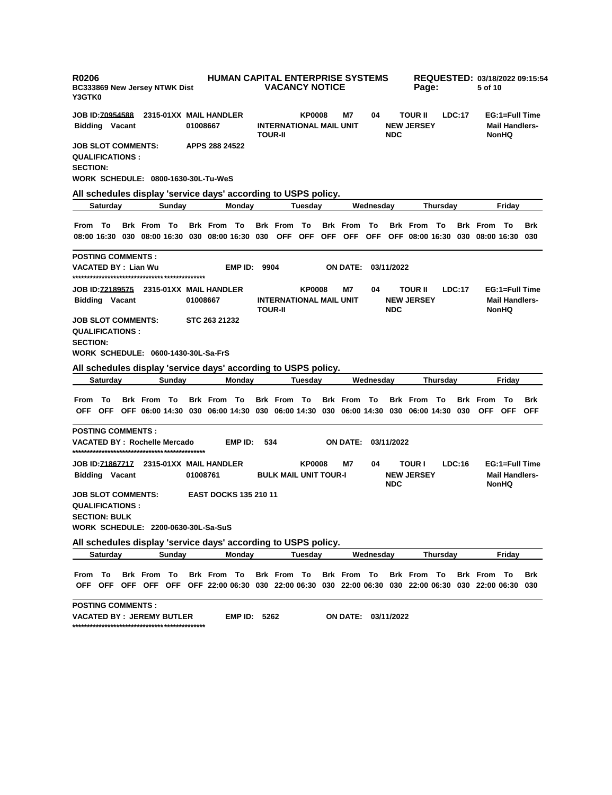| R0206<br><b>BC333869 New Jersey NTWK Dist</b><br><b>Y3GTK0</b>                                                                           |                              | <b>HUMAN CAPITAL ENTERPRISE SYSTEMS</b><br><b>VACANCY NOTICE</b>  |                               | Page:                                         | REQUESTED: 03/18/2022 09:15:54<br>5 of 10               |
|------------------------------------------------------------------------------------------------------------------------------------------|------------------------------|-------------------------------------------------------------------|-------------------------------|-----------------------------------------------|---------------------------------------------------------|
| <b>JOB ID:70954588</b><br>2315-01XX MAIL HANDLER                                                                                         |                              | <b>KP0008</b>                                                     | M7<br>04                      | <b>TOUR II</b><br>LDC:17                      | EG:1=Full Time                                          |
| <b>Bidding Vacant</b>                                                                                                                    | 01008667                     | <b>INTERNATIONAL MAIL UNIT</b><br><b>TOUR-II</b>                  | <b>NDC</b>                    | <b>NEW JERSEY</b>                             | <b>Mail Handlers-</b><br><b>NonHQ</b>                   |
| <b>JOB SLOT COMMENTS:</b><br><b>QUALIFICATIONS :</b><br><b>SECTION:</b>                                                                  | APPS 288 24522               |                                                                   |                               |                                               |                                                         |
| WORK SCHEDULE: 0800-1630-30L-Tu-WeS                                                                                                      |                              |                                                                   |                               |                                               |                                                         |
| All schedules display 'service days' according to USPS policy.                                                                           |                              |                                                                   |                               |                                               |                                                         |
| Saturday<br>Sunday                                                                                                                       | <b>Mondav</b>                | Tuesday                                                           | Wednesday                     | Thursday                                      | Friday                                                  |
| From To<br><b>Brk From To</b><br>08:00 16:30 030 08:00 16:30 030 08:00 16:30 030 OFF OFF OFF OFF OFF OFF 08:00 16:30 030 08:00 16:30 030 | <b>Brk From To</b>           | <b>Brk From To</b>                                                | <b>Brk</b> From<br>То         | <b>Brk</b> From<br>— То                       | <b>Brk From To</b><br><b>Brk</b>                        |
| <b>POSTING COMMENTS :</b>                                                                                                                |                              |                                                                   |                               |                                               |                                                         |
| VACATED BY : Lian Wu                                                                                                                     | EMP ID:                      | 9904                                                              | <b>ON DATE:</b><br>03/11/2022 |                                               |                                                         |
| <b>Bidding Vacant</b>                                                                                                                    | 01008667                     | <b>KP0008</b><br><b>INTERNATIONAL MAIL UNIT</b><br><b>TOUR-II</b> | M7<br>04<br><b>NDC</b>        | <b>TOUR II</b><br>LDC:17<br><b>NEW JERSEY</b> | EG:1=Full Time<br><b>Mail Handlers-</b><br><b>NonHQ</b> |
| JOB SLOT COMMENTS:<br><b>QUALIFICATIONS :</b><br><b>SECTION:</b><br>WORK SCHEDULE: 0600-1430-30L-Sa-FrS                                  | STC 263 21232                |                                                                   |                               |                                               |                                                         |
| All schedules display 'service days' according to USPS policy.                                                                           |                              |                                                                   |                               |                                               |                                                         |
| <b>Saturday</b><br>Sunday                                                                                                                | Monday                       | Tuesday                                                           | Wednesday                     | Thursday                                      | Friday                                                  |
| <b>Brk From To</b><br>From To<br>OFF OFF OFF 06:00 14:30 030 06:00 14:30 030 06:00 14:30 030 06:00 14:30 030 06:00 14:30 030 OFF OFF     | <b>Brk From To</b>           | <b>Brk From To</b>                                                | <b>Brk From To</b>            | <b>Brk From To</b>                            | - To<br><b>Brk</b><br><b>Brk</b> From<br><b>OFF</b>     |
| <b>POSTING COMMENTS :</b><br>VACATED BY : Rochelle Mercado                                                                               | EMP ID:                      | 534                                                               | <b>ON DATE:</b><br>03/11/2022 |                                               |                                                         |
| <b>Bidding Vacant</b>                                                                                                                    | 01008761                     | <b>KP0008</b><br><b>BULK MAIL UNIT TOUR-I</b>                     | M7<br>04<br><b>NDC</b>        | <b>TOUR I</b><br>LDC:16<br><b>NEW JERSEY</b>  | EG:1=Full Time<br><b>Mail Handlers-</b><br><b>NonHQ</b> |
| JOB SLOT COMMENTS:<br><b>QUALIFICATIONS :</b><br><b>SECTION: BULK</b><br>WORK SCHEDULE: 2200-0630-30L-Sa-SuS                             | <b>EAST DOCKS 135 210 11</b> |                                                                   |                               |                                               |                                                         |
| All schedules display 'service days' according to USPS policy.                                                                           |                              |                                                                   |                               |                                               |                                                         |
| <b>Saturday</b><br>Sunday                                                                                                                | Monday                       | Tuesday                                                           | Wednesdav                     | Thursday                                      | Friday                                                  |
| From To<br>Brk From To<br>OFF OFF OFF OFF OFF OFF 22:00 06:30 030 22:00 06:30 030 22:00 06:30 030 22:00 06:30 030 22:00 06:30 030        | Brk From To                  | Brk From To                                                       | Brk From To                   | <b>Brk From To</b>                            | <b>Brk From To</b><br>Brk                               |
| <b>POSTING COMMENTS :</b><br>VACATED BY :  JEREMY BUTLER                                                                                 | <b>EMP ID: 5262</b>          |                                                                   | ON DATE:<br>03/11/2022        |                                               |                                                         |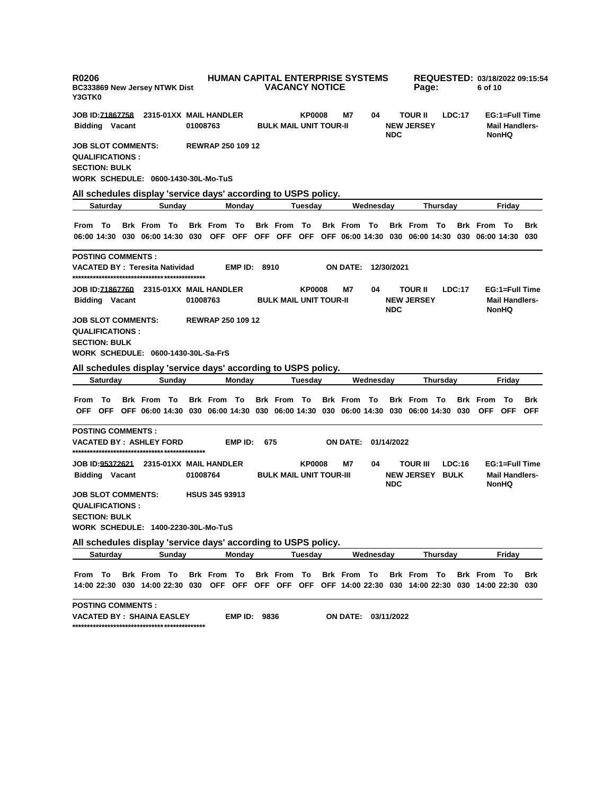| R0206<br>BC333869 New Jersey NTWK Dist<br>Y3GTK0                                                                                                                               |                          | <b>HUMAN CAPITAL ENTERPRISE SYSTEMS</b><br><b>VACANCY NOTICE</b> |                     | Page:                                               | REQUESTED: 03/18/2022 09:15:54<br>6 of 10               |
|--------------------------------------------------------------------------------------------------------------------------------------------------------------------------------|--------------------------|------------------------------------------------------------------|---------------------|-----------------------------------------------------|---------------------------------------------------------|
| JOB ID: <u>71867758</u><br>2315-01XX MAIL HANDLER<br><b>Bidding Vacant</b>                                                                                                     | 01008763                 | <b>KP0008</b><br>M7<br><b>BULK MAIL UNIT TOUR-II</b>             | 04<br><b>NDC</b>    | <b>TOUR II</b><br>LDC:17<br><b>NEW JERSEY</b>       | EG:1=Full Time<br><b>Mail Handlers-</b><br><b>NonHQ</b> |
| JOB SLOT COMMENTS:<br><b>QUALIFICATIONS :</b><br><b>SECTION: BULK</b>                                                                                                          | <b>REWRAP 250 109 12</b> |                                                                  |                     |                                                     |                                                         |
| WORK SCHEDULE: 0600-1430-30L-Mo-TuS<br>All schedules display 'service days' according to USPS policy.                                                                          |                          |                                                                  |                     |                                                     |                                                         |
| <b>Saturday</b><br>Sundav                                                                                                                                                      | <b>Monday</b>            | Tuesday                                                          | Wednesday           | Thursday                                            | Friday                                                  |
| <b>Brk From To</b><br>From To<br>06:00 14:30 030 06:00 14:30 030 OFF OFF OFF OFF OFF OFF 06:00 14:30 030 06:00 14:30 030 06:00 14:30 030                                       | <b>Brk From To</b>       | <b>Brk From To</b><br><b>Brk From To</b>                         |                     | <b>Brk From To</b>                                  | <b>Brk From To</b><br><b>Brk</b>                        |
| <b>POSTING COMMENTS :</b>                                                                                                                                                      |                          |                                                                  |                     |                                                     |                                                         |
| <b>VACATED BY: Teresita Natividad</b>                                                                                                                                          | EMP ID: 8910             | <b>ON DATE:</b>                                                  | 12/30/2021          |                                                     |                                                         |
| <b>Bidding Vacant</b>                                                                                                                                                          | 01008763                 | <b>KP0008</b><br>М7<br><b>BULK MAIL UNIT TOUR-II</b>             | 04<br><b>NDC</b>    | <b>TOUR II</b><br>LDC:17<br><b>NEW JERSEY</b>       | EG:1=Full Time<br><b>Mail Handlers-</b><br>NonHQ        |
| JOB SLOT COMMENTS:<br><b>QUALIFICATIONS :</b><br><b>SECTION: BULK</b><br>WORK SCHEDULE: 0600-1430-30L-Sa-FrS<br>All schedules display 'service days' according to USPS policy. | <b>REWRAP 250 109 12</b> |                                                                  |                     |                                                     |                                                         |
| <b>Saturday</b><br>Sunday                                                                                                                                                      | Monday                   | Tuesday                                                          | Wednesday           | Thursday                                            | Friday                                                  |
| From To<br><b>Brk From To</b><br>OFF OFF OFF 06:00 14:30 030 06:00 14:30 030 06:00 14:30 030 06:00 14:30 030 06:00 14:30 030 OFF OFF OFF                                       | <b>Brk From To</b>       | <b>Brk From To</b><br><b>Brk From To</b>                         |                     | <b>Brk From To</b>                                  | <b>Brk From To</b><br><b>Brk</b>                        |
| <b>POSTING COMMENTS :</b><br>VACATED BY :  ASHLEY FORD                                                                                                                         | EMP ID:<br>675           | ON DATE:                                                         | 01/14/2022          |                                                     |                                                         |
| JOB ID:95372621 2315-01XX MAIL HANDLER<br><b>Bidding Vacant</b>                                                                                                                | 01008764                 | <b>KP0008</b><br>M7<br><b>BULK MAIL UNIT TOUR-III</b>            | 04<br><b>NDC</b>    | <b>TOUR III</b><br>LDC:16<br><b>NEW JERSEY BULK</b> | EG:1=Full Time<br><b>Mail Handlers-</b><br><b>NonHQ</b> |
| <b>JOB SLOT COMMENTS:</b><br><b>QUALIFICATIONS :</b><br><b>SECTION: BULK</b><br>WORK SCHEDULE: 1400-2230-30L-Mo-TuS                                                            | <b>HSUS 345 93913</b>    |                                                                  |                     |                                                     |                                                         |
| All schedules display 'service days' according to USPS policy.                                                                                                                 |                          |                                                                  |                     |                                                     |                                                         |
| Saturday<br>Sunday                                                                                                                                                             | Monday                   | Tuesday                                                          | Wednesday           | Thursday                                            | Friday                                                  |
| From To<br><b>Brk From To</b><br>14:00 22:30 030 14:00 22:30 030 OFF OFF OFF OFF OFF OFF 14:00 22:30 030 14:00 22:30 030 14:00 22:30 030                                       | Brk From To              | Brk From To                                                      | Brk From To         | Brk From To                                         | <b>Brk From To</b><br>Brk                               |
| <b>POSTING COMMENTS :</b><br>VACATED BY :  SHAINA EASLEY                                                                                                                       | <b>EMP ID: 9836</b>      |                                                                  | ON DATE: 03/11/2022 |                                                     |                                                         |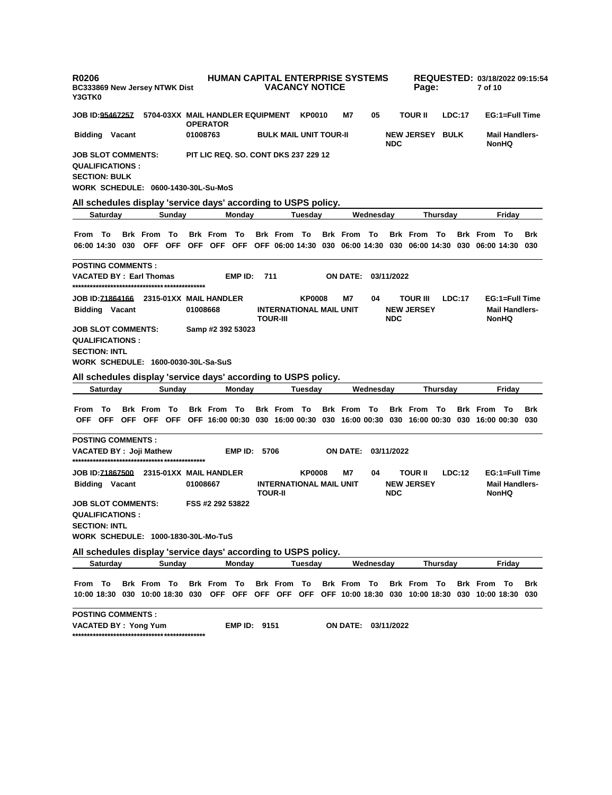| R0206<br>BC333869 New Jersey NTWK Dist<br>Y3GTK0                                                                          |                 |  |                    |        |          |                                                     |                     |     | <b>HUMAN CAPITAL ENTERPRISE SYSTEMS</b><br><b>VACANCY NOTICE</b> |               |                    |           |            | Page:                                                                                                                      |                 |        | 7 of 10            |                                                         | REQUESTED: 03/18/2022 09:15:54 |
|---------------------------------------------------------------------------------------------------------------------------|-----------------|--|--------------------|--------|----------|-----------------------------------------------------|---------------------|-----|------------------------------------------------------------------|---------------|--------------------|-----------|------------|----------------------------------------------------------------------------------------------------------------------------|-----------------|--------|--------------------|---------------------------------------------------------|--------------------------------|
| JOB ID: <u>95467257</u>                                                                                                   |                 |  |                    |        |          | 5704-03XX MAIL HANDLER EQUIPMENT<br><b>OPERATOR</b> |                     |     |                                                                  | <b>KP0010</b> | М7                 | 05        |            | <b>TOUR II</b>                                                                                                             |                 | LDC:17 |                    | EG:1=Full Time                                          |                                |
| <b>Bidding Vacant</b>                                                                                                     |                 |  |                    |        | 01008763 |                                                     |                     |     | <b>BULK MAIL UNIT TOUR-II</b>                                    |               |                    |           | <b>NDC</b> | <b>NEW JERSEY BULK</b>                                                                                                     |                 |        |                    | <b>Mail Handlers-</b><br><b>NonHQ</b>                   |                                |
| <b>JOB SLOT COMMENTS:</b><br><b>QUALIFICATIONS:</b><br><b>SECTION: BULK</b><br><b>WORK SCHEDULE: 0600-1430-30L-Su-MoS</b> |                 |  |                    |        |          |                                                     |                     |     | <b>PIT LIC REQ. SO. CONT DKS 237 229 12</b>                      |               |                    |           |            |                                                                                                                            |                 |        |                    |                                                         |                                |
| All schedules display 'service days' according to USPS policy.                                                            |                 |  |                    |        |          |                                                     |                     |     |                                                                  |               |                    | Wednesdav |            |                                                                                                                            |                 |        |                    |                                                         |                                |
|                                                                                                                           | Saturday        |  |                    | Sunday |          |                                                     | Monday              |     |                                                                  | Tuesday       |                    |           |            |                                                                                                                            | Thursday        |        |                    | Friday                                                  |                                |
| From<br>06:00 14:30 030 OFF OFF OFF OFF OFF OFF OFF 06:00 14:30 030 06:00 14:30 030 06:00 14:30 030 06:00 14:30 030       | To              |  | <b>Brk</b> From    | To     |          | <b>Brk From To</b>                                  |                     |     | <b>Brk From To</b>                                               |               | <b>Brk From To</b> |           |            | <b>Brk</b> From                                                                                                            | To              |        | <b>Brk From To</b> |                                                         | <b>Brk</b>                     |
| <b>POSTING COMMENTS:</b><br><b>VACATED BY: Earl Thomas</b>                                                                |                 |  |                    |        |          |                                                     | EMP ID:             | 711 |                                                                  |               | <b>ON DATE:</b>    |           | 03/11/2022 |                                                                                                                            |                 |        |                    |                                                         |                                |
|                                                                                                                           |                 |  |                    |        |          |                                                     |                     |     |                                                                  | <b>KP0008</b> | Μ7                 | 04        |            | <b>TOUR III</b>                                                                                                            |                 | LDC:17 |                    | EG:1=Full Time                                          |                                |
| <b>Bidding Vacant</b>                                                                                                     |                 |  |                    |        | 01008668 |                                                     |                     |     | <b>INTERNATIONAL MAIL UNIT</b><br><b>TOUR-III</b>                |               |                    |           | <b>NDC</b> | <b>NEW JERSEY</b>                                                                                                          |                 |        |                    | <b>Mail Handlers-</b><br><b>NonHQ</b>                   |                                |
| <b>JOB SLOT COMMENTS:</b><br><b>QUALIFICATIONS:</b><br><b>SECTION: INTL</b><br>WORK SCHEDULE: 1600-0030-30L-Sa-SuS        |                 |  |                    |        |          | Samp #2 392 53023                                   |                     |     |                                                                  |               |                    |           |            |                                                                                                                            |                 |        |                    |                                                         |                                |
| All schedules display 'service days' according to USPS policy.                                                            |                 |  |                    |        |          |                                                     |                     |     |                                                                  |               |                    |           |            |                                                                                                                            |                 |        |                    |                                                         |                                |
|                                                                                                                           | <b>Saturday</b> |  |                    | Sunday |          |                                                     | Monday              |     |                                                                  | Tuesday       |                    | Wednesday |            |                                                                                                                            | <b>Thursday</b> |        |                    | Friday                                                  |                                |
| From                                                                                                                      | To              |  | <b>Brk</b> From    | To     |          | <b>Brk From To</b>                                  |                     |     | <b>Brk From To</b>                                               |               | <b>Brk</b> From    | То        |            | <b>Brk</b> From<br>OFF OFF OFF OFF OFF OFF 16:00 00:30 030 16:00 00:30 030 16:00 00:30 030 16:00 00:30 030 16:00 00:30 030 | To              |        | <b>Brk</b> From    | – То                                                    | <b>Brk</b>                     |
| <b>POSTING COMMENTS:</b><br>VACATED BY : Joji Mathew                                                                      |                 |  |                    |        |          |                                                     | <b>EMP ID: 5706</b> |     |                                                                  |               | <b>ON DATE:</b>    |           | 03/11/2022 |                                                                                                                            |                 |        |                    |                                                         |                                |
| JOB ID:71867500 2315-01XX MAIL HANDLER<br><b>Bidding Vacant</b>                                                           |                 |  |                    |        | 01008667 |                                                     |                     |     | <b>INTERNATIONAL MAIL UNIT</b><br><b>TOUR-II</b>                 | <b>KP0008</b> | Μ7                 | 04        | <b>NDC</b> | <b>TOUR II</b><br><b>NEW JERSEY</b>                                                                                        |                 | LDC:12 |                    | EG:1=Full Time<br><b>Mail Handlers-</b><br><b>NonHQ</b> |                                |
| <b>JOB SLOT COMMENTS:</b><br><b>QUALIFICATIONS:</b><br><b>SECTION: INTL</b><br>WORK SCHEDULE: 1000-1830-30L-Mo-TuS        |                 |  |                    |        |          | FSS #2 292 53822                                    |                     |     |                                                                  |               |                    |           |            |                                                                                                                            |                 |        |                    |                                                         |                                |
| All schedules display 'service days' according to USPS policy.                                                            |                 |  |                    |        |          |                                                     |                     |     |                                                                  |               |                    |           |            |                                                                                                                            |                 |        |                    |                                                         |                                |
|                                                                                                                           | <b>Saturday</b> |  |                    | Sunday |          |                                                     | Monday              |     |                                                                  | Tuesday       |                    | Wednesday |            |                                                                                                                            | Thursday        |        |                    | Friday                                                  |                                |
| From To<br>10:00 18:30 030 10:00 18:30 030 OFF OFF OFF OFF OFF OFF 10:00 18:30 030 10:00 18:30 030 10:00 18:30 030        |                 |  | <b>Brk From To</b> |        |          | <b>Brk From To</b>                                  |                     |     | Brk From To                                                      |               | <b>Brk From To</b> |           |            | <b>Brk From To</b>                                                                                                         |                 |        | <b>Brk From To</b> |                                                         | Brk                            |
| <b>POSTING COMMENTS:</b>                                                                                                  |                 |  |                    |        |          |                                                     |                     |     |                                                                  |               |                    |           |            |                                                                                                                            |                 |        |                    |                                                         |                                |

**VACATED BY : Yong Yum EMP ID: 9151 ON DATE: 03/11/2022 \*\*\*\*\*\*\*\*\*\*\*\*\*\*\*\*\*\*\*\*\*\*\*\*\*\*\*\*\*\*\*\*\*\*\*\*\*\*\*\*\*\*\*\*\***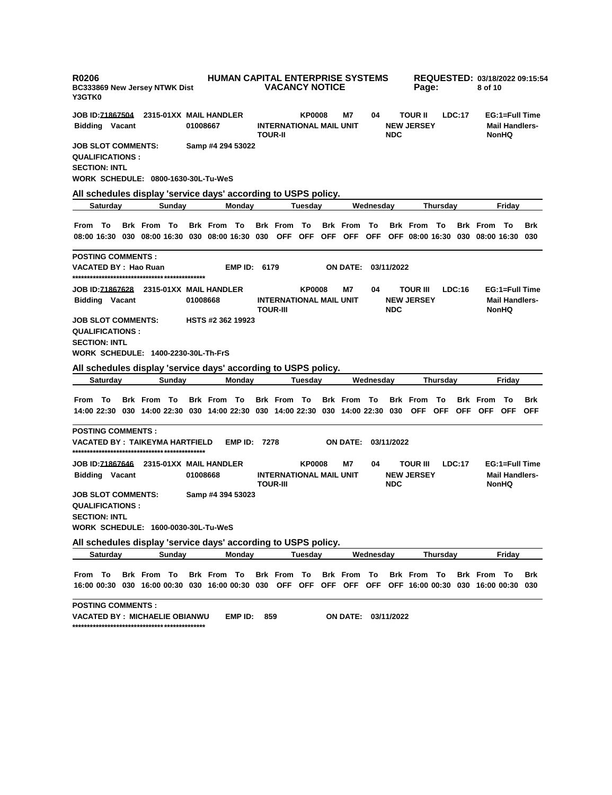| R0206<br><b>BC333869 New Jersey NTWK Dist</b><br>Y3GTK0                                                                                  |                          | <b>HUMAN CAPITAL ENTERPRISE SYSTEMS</b><br><b>VACANCY NOTICE</b>   |                               | Page:                                          | REQUESTED: 03/18/2022 09:15:54<br>8 of 10                        |
|------------------------------------------------------------------------------------------------------------------------------------------|--------------------------|--------------------------------------------------------------------|-------------------------------|------------------------------------------------|------------------------------------------------------------------|
| JOB ID: <u>71867504</u><br>2315-01XX MAIL HANDLER                                                                                        |                          | <b>KP0008</b>                                                      | M7<br>04                      | <b>TOUR II</b><br>LDC:17                       | EG:1=Full Time                                                   |
| <b>Bidding Vacant</b>                                                                                                                    | 01008667                 | <b>INTERNATIONAL MAIL UNIT</b><br><b>TOUR-II</b>                   | <b>NDC</b>                    | <b>NEW JERSEY</b>                              | <b>Mail Handlers-</b><br><b>NonHQ</b>                            |
| JOB SLOT COMMENTS:<br><b>QUALIFICATIONS :</b><br><b>SECTION: INTL</b>                                                                    | Samp #4 294 53022        |                                                                    |                               |                                                |                                                                  |
| <b>WORK SCHEDULE: 0800-1630-30L-Tu-WeS</b><br>All schedules display 'service days' according to USPS policy.                             |                          |                                                                    |                               |                                                |                                                                  |
| <b>Saturday</b><br>Sunday                                                                                                                | Monday                   | Tuesday                                                            | Wednesday                     | Thursday                                       | Fridav                                                           |
|                                                                                                                                          |                          |                                                                    |                               |                                                |                                                                  |
| <b>Brk From To</b><br>From To<br>08:00 16:30 030 08:00 16:30 030 08:00 16:30 030 OFF OFF OFF OFF OFF OFF 08:00 16:30 030 08:00 16:30 030 | <b>Brk From To</b>       | <b>Brk From To</b>                                                 | <b>Brk From To</b>            | <b>Brk From To</b>                             | <b>Brk From To</b><br>Brk                                        |
| <b>POSTING COMMENTS :</b>                                                                                                                |                          |                                                                    |                               |                                                |                                                                  |
| VACATED BY : Hao Ruan                                                                                                                    | EMP ID: 6179             |                                                                    | <b>ON DATE:</b><br>03/11/2022 |                                                |                                                                  |
| JOB ID: <u>71867628</u> 2315-01XX MAIL HANDLER<br><b>Bidding Vacant</b>                                                                  | 01008668                 | <b>KP0008</b><br><b>INTERNATIONAL MAIL UNIT</b><br><b>TOUR-III</b> | M7<br>04<br><b>NDC</b>        | <b>TOUR III</b><br>LDC:16<br><b>NEW JERSEY</b> | EG:1=Full Time<br><b>Mail Handlers-</b><br><b>NonHQ</b>          |
| <b>JOB SLOT COMMENTS:</b><br><b>QUALIFICATIONS :</b><br><b>SECTION: INTL</b><br>WORK SCHEDULE: 1400-2230-30L-Th-FrS                      | <b>HSTS #2 362 19923</b> |                                                                    |                               |                                                |                                                                  |
| All schedules display 'service days' according to USPS policy.                                                                           |                          |                                                                    |                               |                                                |                                                                  |
| Saturday<br>Sunday                                                                                                                       | Monday                   | Tuesday                                                            | Wednesday                     | Thursday                                       | Friday                                                           |
| <b>Brk From To</b><br>From To<br>14:00 22:30 030 14:00 22:30 030 14:00 22:30 030 14:00 22:30 030 14:00 22:30 030 OFF OFF                 | Brk From To              | <b>Brk From To</b>                                                 | <b>Brk From To</b>            | To<br><b>Brk</b> From                          | <b>Brk</b> From<br>To<br><b>Brk</b><br>OFF OFF OFF<br><b>OFF</b> |
| <b>POSTING COMMENTS :</b><br>VACATED BY : TAIKEYMA HARTFIELD                                                                             | EMP ID:                  | 7278                                                               | ON DATE:<br>03/11/2022        |                                                |                                                                  |
| JOB ID: <u>71867646</u> 2315-01XX MAIL HANDLER<br><b>Bidding Vacant</b>                                                                  | 01008668                 | <b>KP0008</b><br><b>INTERNATIONAL MAIL UNIT</b><br><b>TOUR-III</b> | M7<br>04<br><b>NDC</b>        | <b>TOUR III</b><br>LDC:17<br><b>NEW JERSEY</b> | EG:1=Full Time<br><b>Mail Handlers-</b><br><b>NonHQ</b>          |
| <b>JOB SLOT COMMENTS:</b><br><b>QUALIFICATIONS:</b><br><b>SECTION: INTL</b><br>WORK SCHEDULE: 1600-0030-30L-Tu-WeS                       | Samp #4 394 53023        |                                                                    |                               |                                                |                                                                  |
| All schedules display 'service days' according to USPS policy.                                                                           |                          |                                                                    |                               |                                                |                                                                  |
| <b>Saturday</b><br>Sunday                                                                                                                | Monday                   | <b>Tuesday</b>                                                     | Wednesday                     | <b>Thursday</b>                                | Friday                                                           |
| From To<br><b>Brk From To</b><br>16:00 00:30 030 16:00 00:30 030 16:00 00:30 030 OFF OFF OFF OFF OFF OFF 16:00 00:30 030 16:00 00:30 030 | Brk From To              | Brk From To                                                        | Brk From To                   | <b>Brk From To</b>                             | <b>Brk From To</b><br>Brk                                        |
| <b>POSTING COMMENTS :</b><br><b>VACATED BY : MICHAELIE OBIANWU</b>                                                                       | EMP ID:                  | 859                                                                | ON DATE: 03/11/2022           |                                                |                                                                  |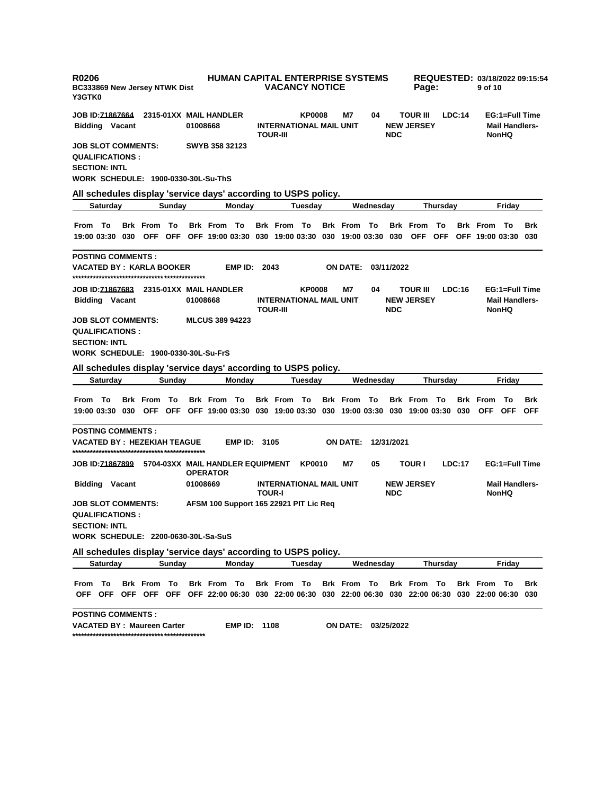| R0206<br><b>BC333869 New Jersey NTWK Dist</b><br>Y3GTK0              |                 |  |                    |        | <b>HUMAN CAPITAL ENTERPRISE SYSTEMS</b><br><b>VACANCY NOTICE</b> |                                                                                                                        |                     |                                                   |                |  |                     |           |            | REQUESTED: 03/18/2022 09:15:54<br>Page: |                  |        |                                           |                                                         |                          |
|----------------------------------------------------------------------|-----------------|--|--------------------|--------|------------------------------------------------------------------|------------------------------------------------------------------------------------------------------------------------|---------------------|---------------------------------------------------|----------------|--|---------------------|-----------|------------|-----------------------------------------|------------------|--------|-------------------------------------------|---------------------------------------------------------|--------------------------|
| JOB ID: <u>71867664</u>                                              |                 |  |                    |        |                                                                  | 2315-01XX MAIL HANDLER                                                                                                 |                     |                                                   | KP0008         |  | M7                  | 04        |            | <b>TOUR III</b>                         |                  | LDC:14 |                                           | EG:1=Full Time                                          |                          |
| <b>Bidding Vacant</b>                                                |                 |  |                    |        | 01008668                                                         |                                                                                                                        |                     | <b>INTERNATIONAL MAIL UNIT</b><br><b>TOUR-III</b> |                |  |                     |           | <b>NDC</b> | <b>NEW JERSEY</b>                       |                  |        |                                           | <b>Mail Handlers-</b><br><b>NonHQ</b>                   |                          |
| <b>JOB SLOT COMMENTS:</b><br><b>QUALIFICATIONS:</b>                  |                 |  |                    |        |                                                                  | SWYB 358 32123                                                                                                         |                     |                                                   |                |  |                     |           |            |                                         |                  |        |                                           |                                                         |                          |
| <b>SECTION: INTL</b>                                                 |                 |  |                    |        |                                                                  |                                                                                                                        |                     |                                                   |                |  |                     |           |            |                                         |                  |        |                                           |                                                         |                          |
|                                                                      |                 |  |                    |        |                                                                  | <b>WORK SCHEDULE: 1900-0330-30L-Su-ThS</b>                                                                             |                     |                                                   |                |  |                     |           |            |                                         |                  |        |                                           |                                                         |                          |
|                                                                      |                 |  |                    |        |                                                                  | All schedules display 'service days' according to USPS policy.                                                         |                     |                                                   |                |  |                     |           |            |                                         |                  |        |                                           |                                                         |                          |
|                                                                      | Saturday        |  |                    | Sunday |                                                                  | Monday                                                                                                                 |                     |                                                   | Tuesday        |  |                     | Wednesday |            |                                         | <b>Thursday</b>  |        |                                           | Friday                                                  |                          |
| From To                                                              |                 |  | Brk From To        |        |                                                                  | <b>Brk From To</b><br>19:00 03:30 030 OFF OFF OFF 19:00 03:30 030 19:00 03:30 030 19:00 03:30 030                      |                     | <b>Brk From To</b>                                |                |  | <b>Brk</b> From     | — То      |            | <b>Brk</b> From<br><b>OFF</b>           | To<br><b>OFF</b> |        | <b>Brk From To</b><br>OFF 19:00 03:30 030 |                                                         | <b>Brk</b>               |
|                                                                      |                 |  |                    |        |                                                                  |                                                                                                                        |                     |                                                   |                |  |                     |           |            |                                         |                  |        |                                           |                                                         |                          |
| <b>POSTING COMMENTS :</b><br>VACATED BY : KARLA BOOKER               |                 |  |                    |        |                                                                  |                                                                                                                        | <b>EMP ID: 2043</b> |                                                   |                |  | <b>ON DATE:</b>     |           | 03/11/2022 |                                         |                  |        |                                           |                                                         |                          |
| <b>Bidding Vacant</b>                                                |                 |  |                    |        | 01008668                                                         |                                                                                                                        |                     | <b>INTERNATIONAL MAIL UNIT</b><br><b>TOUR-III</b> | <b>KP0008</b>  |  | Μ7                  | 04        | <b>NDC</b> | <b>TOUR III</b><br><b>NEW JERSEY</b>    |                  | LDC:16 |                                           | EG:1=Full Time<br><b>Mail Handlers-</b><br><b>NonHQ</b> |                          |
| JOB SLOT COMMENTS:<br><b>QUALIFICATIONS:</b><br><b>SECTION: INTL</b> |                 |  |                    |        |                                                                  | <b>MLCUS 389 94223</b><br>WORK SCHEDULE: 1900-0330-30L-Su-FrS                                                          |                     |                                                   |                |  |                     |           |            |                                         |                  |        |                                           |                                                         |                          |
|                                                                      |                 |  |                    |        |                                                                  | All schedules display 'service days' according to USPS policy.                                                         |                     |                                                   |                |  |                     |           |            |                                         |                  |        |                                           |                                                         |                          |
|                                                                      | <b>Saturday</b> |  |                    | Sunday |                                                                  | Monday                                                                                                                 |                     |                                                   | Tuesday        |  |                     | Wednesday |            |                                         | <b>Thursday</b>  |        |                                           | Friday                                                  |                          |
| From To                                                              |                 |  | <b>Brk</b> From    | То     |                                                                  | <b>Brk From To</b><br>19:00 03:30 030 OFF OFF OFF 19:00 03:30 030 19:00 03:30 030 19:00 03:30 030 19:00 03:30 030      |                     | <b>Brk From To</b>                                |                |  | <b>Brk</b> From     | То        |            | <b>Brk From To</b>                      |                  |        | <b>Brk</b> From<br>OFF OFF                | - To                                                    | <b>Brk</b><br><b>OFF</b> |
| <b>POSTING COMMENTS :</b><br>VACATED BY : HEZEKIAH TEAGUE            |                 |  |                    |        |                                                                  |                                                                                                                        | <b>EMP ID: 3105</b> |                                                   |                |  | <b>ON DATE:</b>     |           | 12/31/2021 |                                         |                  |        |                                           |                                                         |                          |
| JOB ID: <u>71867899</u>                                              |                 |  |                    |        |                                                                  | 5704-03XX MAIL HANDLER EQUIPMENT<br><b>OPERATOR</b>                                                                    |                     |                                                   | <b>KP0010</b>  |  | Μ7                  | 05        |            | <b>TOUR I</b>                           |                  | LDC:17 |                                           | EG:1=Full Time                                          |                          |
| <b>Bidding Vacant</b>                                                |                 |  |                    |        | 01008669                                                         |                                                                                                                        |                     | <b>INTERNATIONAL MAIL UNIT</b><br><b>TOUR-I</b>   |                |  |                     |           | <b>NDC</b> | <b>NEW JERSEY</b>                       |                  |        |                                           | <b>Mail Handlers-</b><br><b>NonHQ</b>                   |                          |
| JOB SLOT COMMENTS:<br><b>QUALIFICATIONS :</b>                        |                 |  |                    |        |                                                                  | AFSM 100 Support 165 22921 PIT Lic Req                                                                                 |                     |                                                   |                |  |                     |           |            |                                         |                  |        |                                           |                                                         |                          |
| <b>SECTION: INTL</b>                                                 |                 |  |                    |        |                                                                  |                                                                                                                        |                     |                                                   |                |  |                     |           |            |                                         |                  |        |                                           |                                                         |                          |
|                                                                      |                 |  |                    |        |                                                                  | WORK SCHEDULE: 2200-0630-30L-Sa-SuS                                                                                    |                     |                                                   |                |  |                     |           |            |                                         |                  |        |                                           |                                                         |                          |
|                                                                      |                 |  |                    |        |                                                                  | All schedules display 'service days' according to USPS policy.                                                         |                     |                                                   |                |  |                     |           |            |                                         |                  |        |                                           |                                                         |                          |
|                                                                      | Saturday        |  |                    | Sunday |                                                                  | Monday                                                                                                                 |                     |                                                   | <b>Tuesday</b> |  |                     | Wednesday |            |                                         | <b>Thursday</b>  |        |                                           | Friday                                                  |                          |
| From To                                                              |                 |  | <b>Brk From To</b> |        |                                                                  | Brk From To<br>OFF OFF OFF OFF OFF OFF 22:00 06:30 030 22:00 06:30 030 22:00 06:30 030 22:00 06:30 030 22:00 06:30 030 |                     | <b>Brk From To</b>                                |                |  | Brk From To         |           |            | Brk From To                             |                  |        | <b>Brk From To</b>                        |                                                         | Brk                      |
| <b>POSTING COMMENTS:</b><br>VACATED BY : Maureen Carter              |                 |  |                    |        |                                                                  |                                                                                                                        | <b>EMP ID: 1108</b> |                                                   |                |  | ON DATE: 03/25/2022 |           |            |                                         |                  |        |                                           |                                                         |                          |